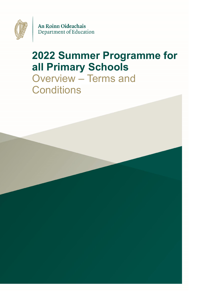

An Roinn Oideachais Department of Education

# **2022 Summer Programme for all Primary Schools**  Overview – Terms and **Conditions**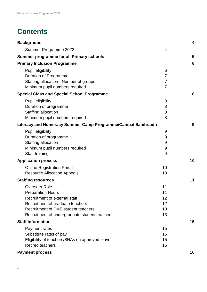## **Contents**

| <b>Background</b>                                            |                | $\overline{\mathbf{4}}$ |
|--------------------------------------------------------------|----------------|-------------------------|
| Summer Programme 2022                                        | 4              |                         |
| <b>Summer programme for all Primary schools</b>              |                | 5                       |
| <b>Primary Inclusion Programme</b>                           |                | 6                       |
| Pupil eligibility                                            | 6              |                         |
| <b>Duration of Programme</b>                                 | $\overline{7}$ |                         |
| Staffing allocation - Number of groups                       | $\overline{7}$ |                         |
| Minimum pupil numbers required                               | $\overline{7}$ |                         |
| <b>Special Class and Special School Programme</b>            |                | 8                       |
| Pupil eligibility                                            | 8              |                         |
| Duration of programme                                        | 8              |                         |
| Staffing allocation                                          | 8              |                         |
| Minimum pupil numbers required                               | 8              |                         |
| Literacy and Numeracy Summer Camp Programme/Campaí Samhraidh |                | 9                       |
| Pupil eligibility                                            | 9              |                         |
| Duration of programme                                        | 9              |                         |
| Staffing allocation                                          | 9              |                         |
| Minimum pupil numbers required                               | 9              |                         |
| Staff training                                               | 9              |                         |
| <b>Application process</b>                                   |                | 10                      |
| <b>Online Registration Portal</b>                            | 10             |                         |
| <b>Resource Allocation Appeals</b>                           | 10             |                         |
| <b>Staffing resources</b>                                    |                | 11                      |
| <b>Overseer Role</b>                                         | 11             |                         |
| <b>Preparation Hours</b>                                     | 11             |                         |
| Recruitment of external staff                                | 12             |                         |
| Recruitment of graduate teachers                             | 12             |                         |
| Recruitment of PME student teachers                          | 13             |                         |
| Recruitment of undergraduate student teachers                | 13             |                         |
| <b>Staff information</b>                                     |                | 15                      |
| Payment rates                                                | 15             |                         |
| Substitute rates of pay                                      | 15             |                         |
| Eligibility of teachers/SNAs on approved leave               | 15             |                         |
| <b>Retired teachers</b>                                      | 15             |                         |
| <b>Payment process</b>                                       |                | 16                      |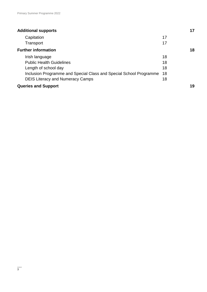| <b>Additional supports</b>                                         |    | 17 |
|--------------------------------------------------------------------|----|----|
| Capitation                                                         | 17 |    |
| Transport                                                          | 17 |    |
| <b>Further information</b>                                         |    | 18 |
| Irish language                                                     | 18 |    |
| <b>Public Health Guidelines</b>                                    | 18 |    |
| Length of school day                                               | 18 |    |
| Inclusion Programme and Special Class and Special School Programme | 18 |    |
| <b>DEIS Literacy and Numeracy Camps</b>                            | 18 |    |
| <b>Queries and Support</b>                                         |    | 19 |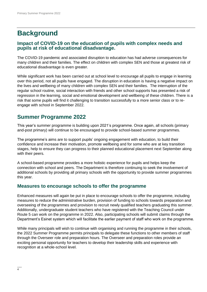### <span id="page-3-0"></span>**Background**

#### **Impact of COVID-19 on the education of pupils with complex needs and pupils at risk of educational disadvantage.**

The COVID-19 pandemic and associated disruption to education has had adverse consequences for many children and their families. The effect on children with complex SEN and those at greatest risk of educational disadvantage is even greater.

While significant work has been carried out at school level to encourage all pupils to engage in learning over this period, not all pupils have engaged. The disruption in education is having a negative impact on the lives and wellbeing of many children with complex SEN and their families. The interruption of the regular school routine, social interaction with friends and other school supports has presented a risk of regression in the learning, social and emotional development and wellbeing of these children. There is a risk that some pupils will find it challenging to transition successfully to a more senior class or to reengage with school in September 2022.

#### <span id="page-3-1"></span>**Summer Programme 2022**

This year's summer programme is building upon 2021's programme. Once again, all schools (primary and-post primary) will continue to be encouraged to provide school-based summer programmes.

The programme's aims are to support pupils' ongoing engagement with education, to build their confidence and increase their motivation, promote wellbeing and for some who are at key transition stages, help to ensure they can progress to their planned educational placement next September along with their peers.

A school-based programme provides a more holistic experience for pupils and helps keep the connection with school and peers. The Department is therefore continuing to seek the involvement of additional schools by providing all primary schools with the opportunity to provide summer programmes this year.

#### **Measures to encourage schools to offer the programme**

Enhanced measures will again be put in place to encourage schools to offer the programme, including measures to reduce the administrative burden, provision of funding to schools towards preparation and overseeing of the programmes and provision to recruit newly qualified teachers graduating this summer. Additionally, undergraduate student teachers who have registered with the Teaching Council under Route 5 can work on the programme in 2022. Also, participating schools will submit claims through the Department's Esinet system which will facilitate the earlier payment of staff who work on the programme.

While many principals will wish to continue with organising and running the programme in their schools, the 2022 Summer Programme permits principals to delegate these functions to other members of staff through the Overseer role and preparation hours. The Overseer and preparation roles provide an exciting personal opportunity for teachers to develop their leadership skills and experience with recognition at a whole-school level.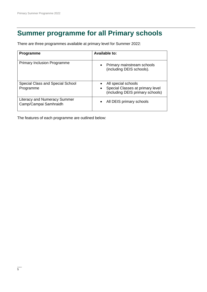### <span id="page-4-0"></span>**Summer programme for all Primary schools**

There are three programmes available at primary level for Summer 2022:

| <b>Programme</b>                                             | <b>Available to:</b>                                                                                     |  |
|--------------------------------------------------------------|----------------------------------------------------------------------------------------------------------|--|
| <b>Primary Inclusion Programme</b>                           | Primary mainstream schools<br>$\bullet$<br>(including DEIS schools).                                     |  |
| Special Class and Special School<br>Programme                | All special schools<br>Special Classes at primary level<br>$\bullet$<br>(including DEIS primary schools) |  |
| <b>Literacy and Numeracy Summer</b><br>Camp/Campai Samhraidh | All DEIS primary schools<br>$\bullet$                                                                    |  |

The features of each programme are outlined below: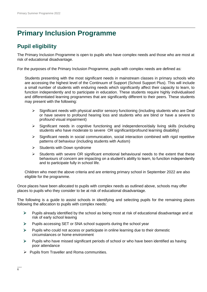## <span id="page-5-0"></span>**Primary Inclusion Programme**

### <span id="page-5-1"></span>**Pupil eligibility**

The Primary Inclusion Programme is open to pupils who have complex needs and those who are most at risk of educational disadvantage.

For the purposes of the Primary Inclusion Programme, pupils with complex needs are defined as:

Students presenting with the most significant needs in mainstream classes in primary schools who are accessing the highest level of the Continuum of Support (School Support Plus). This will include a small number of students with enduring needs which significantly affect their capacity to learn, to function independently and to participate in education. These students require highly individualised and differentiated learning programmes that are significantly different to their peers. These students may present with the following:

- $\triangleright$  Significant needs with physical and/or sensory functioning (including students who are Deaf or have severe to profound hearing loss and students who are blind or have a severe to profound visual impairment)
- $\triangleright$  Significant needs in cognitive functioning and independence/daily living skills (including students who have moderate to severe OR significant/profound learning disability)
- $\triangleright$  Significant needs in social communication, social interaction combined with rigid repetitive patterns of behaviour (including students with Autism)
- $\triangleright$  Students with Down syndrome
- $\triangleright$  Students with severe OR significant emotional behavioural needs to the extent that these behaviours of concern are impacting on a student's ability to learn, to function independently and to participate fully in school life.

Children who meet the above criteria and are entering primary school in September 2022 are also eligible for the programme.

Once places have been allocated to pupils with complex needs as outlined above, schools may offer places to pupils who they consider to be at risk of educational disadvantage.

The following is a guide to assist schools in identifying and selecting pupils for the remaining places following the allocation to pupils with complex needs:

- $\triangleright$  Pupils already identified by the school as being most at risk of educational disadvantage and at risk of early school leaving
- $\triangleright$  Pupils accessing SET or SNA school supports during the school year
- $\triangleright$  Pupils who could not access or participate in online learning due to their domestic circumstances or home environment
- $\triangleright$  Pupils who have missed significant periods of school or who have been identified as having poor attendance
- $\triangleright$  Pupils from Traveller and Roma communities.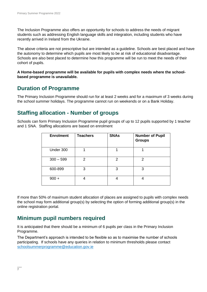The Inclusion Programme also offers an opportunity for schools to address the needs of migrant students such as addressing English language skills and integration, including students who have recently arrived in Ireland from the Ukraine.

The above criteria are not prescriptive but are intended as a guideline. Schools are best placed and have the autonomy to determine which pupils are most likely to be at risk of educational disadvantage. Schools are also best placed to determine how this programme will be run to meet the needs of their cohort of pupils.

**A Home-based programme will be available for pupils with complex needs where the schoolbased programme is unavailable.**

#### <span id="page-6-0"></span>**Duration of Programme**

The Primary Inclusion Programme should run for at least 2 weeks and for a maximum of 3 weeks during the school summer holidays. The programme cannot run on weekends or on a Bank Holiday.

#### <span id="page-6-1"></span>**Staffing allocation - Number of groups**

Schools can form Primary Inclusion Programme pupil groups of up to 12 pupils supported by 1 teacher and 1 SNA. Staffing allocations are based on enrolment

| <b>Enrolment</b> | <b>Teachers</b> | <b>SNAs</b>    | <b>Number of Pupil</b><br><b>Groups</b> |
|------------------|-----------------|----------------|-----------------------------------------|
| Under 300        |                 |                |                                         |
| $300 - 599$      | 2               | $\overline{2}$ | 2                                       |
| 600-899          | 3               | 3              | 3                                       |
| $900 +$          |                 |                |                                         |

If more than 50% of maximum student allocation of places are assigned to pupils with complex needs the school may form additional group(s) by selecting the option of forming additional group(s) in the online registration portal.

#### <span id="page-6-2"></span>**Minimum pupil numbers required**

It is anticipated that there should be a minimum of 6 pupils per class in the Primary Inclusion Programme.

The Department's approach is intended to be flexible so as to maximise the number of schools participating. If schools have any queries in relation to minimum thresholds please contact [schoolsummerprogramme@education.gov.ie](mailto:schoolsummerprogramme@education.gov.ie)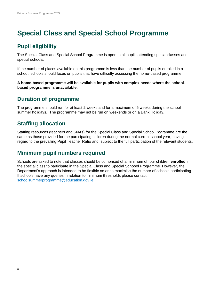## <span id="page-7-0"></span>**Special Class and Special School Programme**

### <span id="page-7-1"></span>**Pupil eligibility**

The Special Class and Special School Programme is open to all pupils attending special classes and special schools.

If the number of places available on this programme is less than the number of pupils enrolled in a school, schools should focus on pupils that have difficulty accessing the home-based programme.

**A home-based programme will be available for pupils with complex needs where the schoolbased programme is unavailable.**

#### <span id="page-7-2"></span>**Duration of programme**

The programme should run for at least 2 weeks and for a maximum of 5 weeks during the school summer holidays. The programme may not be run on weekends or on a Bank Holiday.

#### <span id="page-7-3"></span>**Staffing allocation**

Staffing resources (teachers and SNAs) for the Special Class and Special School Pogramme are the same as those provided for the participating children during the normal current school year, having regard to the prevailing Pupil Teacher Ratio and, subject to the full participation of the relevant students.

#### <span id="page-7-4"></span>**Minimum pupil numbers required**

Schools are asked to note that classes should be comprised of a minimum of four children **enrolled** in the special class to participate in the Special Class and Special Schoool Programme However, the Department's approach is intended to be flexible so as to maximise the number of schools participating. If schools have any queries in relation to minimum thresholds please contact [schoolsummerprogramme@education.gov.ie](mailto:schoolsummerprogramme@education.gov.ie)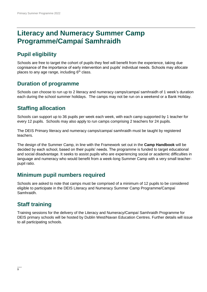### <span id="page-8-0"></span>**Literacy and Numeracy Summer Camp Programme/Campaí Samhraidh**

### <span id="page-8-1"></span>**Pupil eligibility**

Schools are free to target the cohort of pupils they feel will benefit from the experience, taking due cognisance of the importance of early intervention and pupils' individual needs. Schools may allocate places to any age range, including  $6<sup>th</sup>$  class.

#### <span id="page-8-2"></span>**Duration of programme**

Schools can choose to run up to 2 literacy and numeracy camps/campaí samhraidh of 1 week's duration each during the school summer holidays. The camps may not be run on a weekend or a Bank Holiday.

### <span id="page-8-3"></span>**Staffing allocation**

Schools can support up to 36 pupils per week each week, with each camp supported by 1 teacher for every 12 pupils. Schools may also apply to run camps comprising 2 teachers for 24 pupils.

The DEIS Primary literacy and numeracy camps/campaí samhraidh must be taught by registered teachers.

The design of the Summer Camp, in line with the Framework set out in the **Camp Handbook** will be decided by each school, based on their pupils' needs. The programme is funded to target educational and social disadvantage. It seeks to assist pupils who are experiencing social or academic difficulties in language and numeracy who would benefit from a week-long Summer Camp with a very small teacherpupil ratio.

#### <span id="page-8-4"></span>**Minimum pupil numbers required**

Schools are asked to note that camps must be comprised of a minimum of 12 pupils to be considered eligible to participate in the DEIS Literacy and Numeracy Summer Camp Programme/Campaí Samhraidh.

### <span id="page-8-5"></span>**Staff training**

Training sessions for the delivery of the Literacy and Numeracy/Campaí Samhraidh Programme for DEIS primary schools will be hosted by Dublin West/Navan Education Centres. Further details will issue to all participating schools.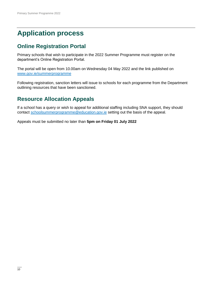## <span id="page-9-0"></span>**Application process**

#### <span id="page-9-1"></span>**Online Registration Portal**

Primary schools that wish to participate in the 2022 Summer Programme must register on the department's Online Registration Portal.

The portal will be open from 10.00am on Wednesday 04 May 2022 and the link published on [www.gov.ie/summerprogramme](http://www.gov.ie/summerprogramme)

Following registration, sanction letters will issue to schools for each programme from the Department outlining resources that have been sanctioned.

### <span id="page-9-2"></span>**Resource Allocation Appeals**

If a school has a query or wish to appeal for additional staffing including SNA support, they should contact schoolsummerprogramme@education.gov.ie setting out the basis of the appeal.

Appeals must be submitted no later than **5pm on Friday 01 July 2022**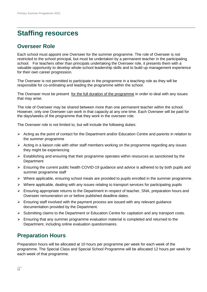### <span id="page-10-0"></span>**Staffing resources**

#### <span id="page-10-1"></span>**Overseer Role**

Each school must appoint one Overseer for the summer programme. The role of Overseer is not restricted to the school principal, but must be undertaken by a permanent teacher in the participating school. For teachers other than principals undertaking the Overseer role, it presents them with a valuable opportunity to develop whole-school leadership skills and to build up management experience for their own career progression.

The Overseer is not permitted to participate in the programme in a teaching role as they will be responsible for co-ordinating and leading the programme within the school.

The Overseer must be present for the full duration of the programme in order to deal with any issues that may arise.

The role of Overseer may be shared between more than one permanent teacher within the school. However, only one Overseer can work in that capacity at any one time. Each Overseer will be paid for the days/weeks of the programme that they work in the overseer role.

The Overseer role is not limited to, but will include the following duties:

- $\triangleright$  Acting as the point of contact for the Department and/or Education Centre and parents in relation to the summer programme
- $\triangleright$  Acting in a liaison role with other staff members working on the programme regarding any issues they might be experiencing
- $\triangleright$  Establishing and ensuring that their programme operates within resources as sanctioned by the **Department**
- $\triangleright$  Ensuring the current public health COVID-19 guidance and advice is adhered to by both pupils and summer programme staff
- $\triangleright$  Where applicable, ensuring school meals are provided to pupils enrolled in the summer programme.
- $\triangleright$  Where applicable, dealing with any issues relating to transport services for participating pupils
- $\triangleright$  Ensuring appropriate returns to the Department in respect of teacher, SNA, preparation hours and Overseer remuneration on or before published deadline dates.
- $\triangleright$  Ensuring staff involved with the payment process are issued with any relevant guidance documentation provided by the Department.
- $\triangleright$  Submitting claims to the Department or Education Centre for capitation and any transport costs.
- $\triangleright$  Ensuring that any summer programme evaluation material is completed and returned to the Department, including online evaluation questionnaires.

#### <span id="page-10-2"></span>**Preparation Hours**

Preparation hours will be allocated at 10 hours per programme per week for each week of the programme. The Special Class and Special School Programme will be allocated 12 hours per week for each week of that programme.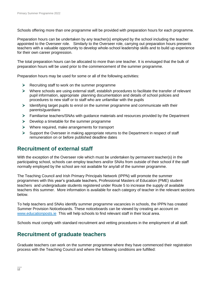Schools offering more than one programme will be provided with preparation hours for each programme.

Preparation hours can be undertaken by any teacher(s) employed by the school including the teacher appointed to the Overseer role. Similarly to the Overseer role, carrying out preparation hours presents teachers with a valuable opportunity to develop whole-school leadership skills and to build up experience for their own career progression.

The total preparation hours can be allocated to more than one teacher. It is envisaged that the bulk of preparation hours will be used prior to the commencement of the summer programme.

Preparation hours may be used for some or all of the following activities:

- $\triangleright$  Recruiting staff to work on the summer programme
- $\triangleright$  Where schools are using external staff, establish procedures to facilitate the transfer of relevant pupil information, appropriate planning documentation and details of school policies and procedures to new staff or to staff who are unfamiliar with the pupils
- $\triangleright$  Identifying target pupils to enrol on the summer programme and communicate with their parents/guardians
- Familiarise teachers/SNAs with guidance materials and resources provided by the Department
- $\triangleright$  Develop a timetable for the summer programme
- $\triangleright$  Where required, make arrangements for transport
- $\triangleright$  Support the Overseer in making appropriate returns to the Department in respect of staff remuneration on or before published deadline dates

#### <span id="page-11-0"></span>**Recruitment of external staff**

With the exception of the Overseer role which must be undertaken by permanent teacher(s) in the participating school, schools can employ teachers and/or SNAs from outside of their school if the staff normally employed by the school are not available for any/all of the summer programme.

The Teaching Council and Irish Primary Principals Network (IPPN) will promote the summer programmes with this year's graduate teachers, Professional Masters of Education (PME) student teachers and undergraduate students registered under Route 5 to increase the supply of available teachers this summer. More information is available for each category of teacher in the relevant sections below.

To help teachers and SNAs identify summer programme vacancies in schools, the IPPN has created Summer Provision Noticeboards. These noticeboards can be viewed by creating an account on [www.educationposts.ie](http://www.educationposts.ie/) This will help schools to find relevant staff in their local area.

Schools must comply with standard recruitment and vetting procedures in the employment of all staff.

#### <span id="page-11-1"></span>**Recruitment of graduate teachers**

Graduate teachers can work on the summer programme where they have commenced their registration process with the Teaching Council and where the following conditions are fulfilled: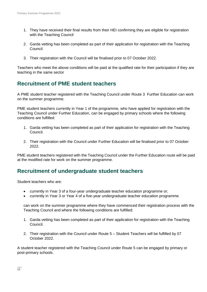- 1. They have received their final results from their HEI confirming they are eligible for registration with the Teaching Council
- 2. Garda vetting has been completed as part of their application for registration with the Teaching Council.
- 3. Their registration with the Council will be finalised prior to 07 October 2022.

Teachers who meet the above conditions will be paid at the qualified rate for their participation if they are teaching in the same sector

#### <span id="page-12-0"></span>**Recruitment of PME student teachers**

A PME student teacher registered with the Teaching Council under Route 3 Further Education can work on the summer programme.

PME student teachers currently in Year 1 of the programme, who have applied for registration with the Teaching Council under Further Education, can be engaged by primary schools where the following conditions are fulfilled:

- 1. Garda vetting has been completed as part of their application for registration with the Teaching Council.
- 2. Their registration with the Council under Further Education will be finalised prior to 07 October 2022.

PME student teachers registered with the Teaching Council under the Further Education route will be paid at the modified rate for work on the summer programme.

#### <span id="page-12-1"></span>**Recruitment of undergraduate student teachers**

Student teachers who are:

- currently in Year 3 of a four-year undergraduate teacher education programme or;
- currently in Year 3 or Year 4 of a five-year undergraduate teacher education programme

can work on the summer programme where they have commenced their registration process with the Teaching Council and where the following conditions are fulfilled:

- 1. Garda vetting has been completed as part of their application for registration with the Teaching Council.
- 2. Their registration with the Council under Route 5 Student Teachers will be fulfilled by 07 October 2022.

A student teacher registered with the Teaching Council under Route 5 can be engaged by primary or post-primary schools.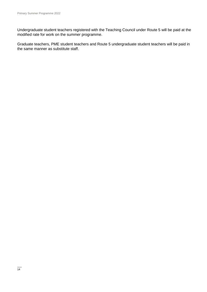Undergraduate student teachers registered with the Teaching Council under Route 5 will be paid at the modified rate for work on the summer programme.

Graduate teachers, PME student teachers and Route 5 undergraduate student teachers will be paid in the same manner as substitute staff.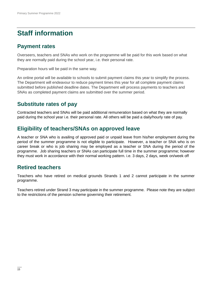## <span id="page-14-0"></span>**Staff information**

#### <span id="page-14-1"></span>**Payment rates**

Overseers, teachers and SNAs who work on the programme will be paid for this work based on what they are normally paid during the school year, i.e. their personal rate.

Preparation hours will be paid in the same way.

An online portal will be available to schools to submit payment claims this year to simplify the process. The Department will endeavour to reduce payment times this year for all complete payment claims submitted before published deadline dates. The Department will process payments to teachers and SNAs as completed payment claims are submitted over the summer period.

#### <span id="page-14-2"></span>**Substitute rates of pay**

Contracted teachers and SNAs will be paid additional remuneration based on what they are normally paid during the school year i.e. their personal rate. All others will be paid a daily/hourly rate of pay.

#### <span id="page-14-3"></span>**Eligibility of teachers/SNAs on approved leave**

A teacher or SNA who is availing of approved paid or unpaid leave from his/her employment during the period of the summer programme is not eligible to participate. However, a teacher or SNA who is on career break or who is job sharing may be employed as a teacher or SNA during the period of the programme. Job sharing teachers or SNAs can participate full time in the summer programme; however they must work in accordance with their normal working pattern. i.e. 3 days, 2 days, week on/week off

#### <span id="page-14-4"></span>**Retired teachers**

Teachers who have retired on medical grounds Strands 1 and 2 cannot participate in the summer programme.

Teachers retired under Strand 3 may participate in the summer programme. Please note they are subject to the restrictions of the pension scheme governing their retirement.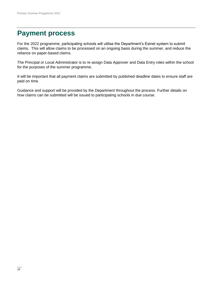### <span id="page-15-0"></span>**Payment process**

For the 2022 programme, participating schools will utilise the Department's Esinet system to submit claims. This will allow claims to be processed on an ongoing basis during the summer, and reduce the reliance on paper-based claims.

The Principal or Local Administrator is to re-assign Data Approver and Data Entry roles within the school for the purposes of the summer programme.

It will be important that all payment claims are submitted by published deadline dates to ensure staff are paid on time.

Guidance and support will be provided by the Department throughout the process. Further details on how claims can be submitted will be issued to participating schools in due course.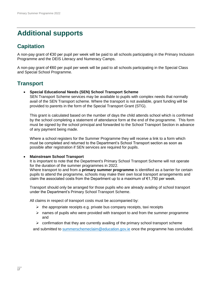## <span id="page-16-0"></span>**Additional supports**

### <span id="page-16-1"></span>**Capitation**

A non-pay grant of €30 per pupil per week will be paid to all schools participating in the Primary Inclusion Programme and the DEIS Literacy and Numeracy Camps.

A non-pay grant of €60 per pupil per week will be paid to all schools participating in the Special Class and Special School Programme.

#### <span id="page-16-2"></span>**Transport**

- **Special Educational Needs (SEN) School Transport Scheme** 
	- SEN Transport Scheme services may be available to pupils with complex needs that normally avail of the SEN Transport scheme. Where the transport is not available, grant funding will be provided to parents in the form of the Special Transport Grant (STG).

This grant is calculated based on the number of days the child attends school which is confirmed by the school completing a statement of attendance form at the end of the programme. This form must be signed by the school principal and forwarded to the School Transport Section in advance of any payment being made.

Where a school registers for the Summer Programme they will receive a link to a form which must be completed and returned to the Department's School Transport section as soon as possible after registration if SEN services are required for pupils.

#### **Mainstream School Transport**

It is important to note that the Department's Primary School Transport Scheme will not operate for the duration of the summer programmes in 2022.

Where transport to and from a **primary summer programme** is identified as a barrier for certain pupils to attend the programme, schools may make their own local transport arrangements and claim the associated costs from the Department up to a maximum of  $\epsilon$ 1,750 per week.

Transport should only be arranged for those pupils who are already availing of school transport under the Department's Primary School Transport Scheme.

All claims in respect of transport costs must be accompanied by:

- $\triangleright$  the appropriate receipts e.g. private bus company receipts, taxi receipts
- $\triangleright$  names of pupils who were provided with transport to and from the summer programme and
- $\triangleright$  confirmation that they are currently availing of the primary school transport scheme

and submitted to [summerschemeclaim@education.gov.ie](mailto:summerschemeclaim@education.gov.ie) once the programme has concluded.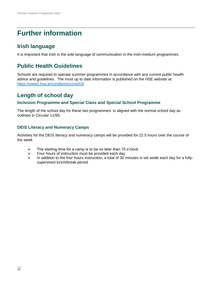### <span id="page-17-0"></span>**Further information**

#### <span id="page-17-1"></span>**Irish language**

<span id="page-17-2"></span>It is important that Irish is the sole language of communication in the Irish-medium programmes.

#### **Public Health Guidelines**

Schools are required to operate summer programmes in accordance with any current public health advice and guidelines. The most up to date information is published on the HSE website at: <https://www2.hse.ie/conditions/covid19/>

#### <span id="page-17-3"></span>**Length of school day**

#### <span id="page-17-4"></span>**Inclusion Programme and Special Class and Special School Programme**

The length of the school day for these two programmes is aligned with the normal school day as outlined in Circular 11/95.

#### <span id="page-17-5"></span>**DEIS Literacy and Numeracy Camps**

Activities for the DEIS literacy and numeracy camps will be provided for 22.5 hours over the course of the week

- $\triangleright$  The starting time for a camp is to be no later than 10 o'clock
- Four hours of instruction must be provided each day<br>
In addition to the four hours instruction a total of 30
- In addition to the four hours instruction, a total of 30 minutes is set aside each day for a fullysupervised lunch/break period